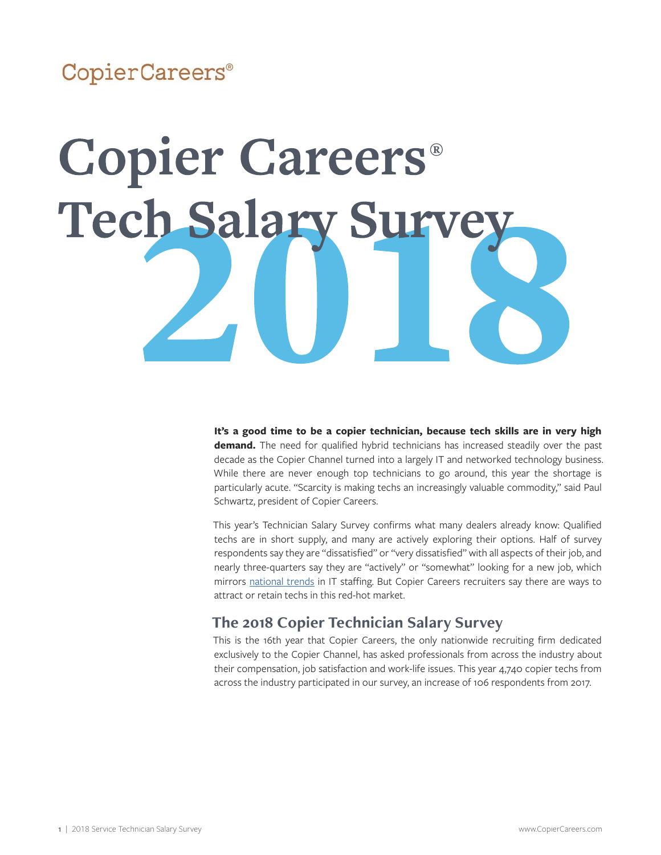#### CopierCareers®

# **Copier Careers®** Tech Salary Surve

**It's a good time to be a copier technician, because tech skills are in very high demand.** The need for qualified hybrid technicians has increased steadily over the past decade as the Copier Channel turned into a largely IT and networked technology business. While there are never enough top technicians to go around, this year the shortage is particularly acute. "Scarcity is making techs an increasingly valuable commodity," said Paul Schwartz, president of Copier Careers.

This year's Technician Salary Survey confirms what many dealers already know: Qualified techs are in short supply, and many are actively exploring their options. Half of survey respondents say they are "dissatisfied" or "very dissatisfied" with all aspects of their job, and nearly three-quarters say they are "actively" or "somewhat" looking for a new job, which mirrors [national trends](http://blog.indeed.com/2018/01/25/salary-report/) in IT staffing. But Copier Careers recruiters say there are ways to attract or retain techs in this red-hot market.

#### **The 2018 Copier Technician Salary Survey**

This is the 16th year that Copier Careers, the only nationwide recruiting firm dedicated exclusively to the Copier Channel, has asked professionals from across the industry about their compensation, job satisfaction and work-life issues. This year 4,740 copier techs from across the industry participated in our survey, an increase of 106 respondents from 2017.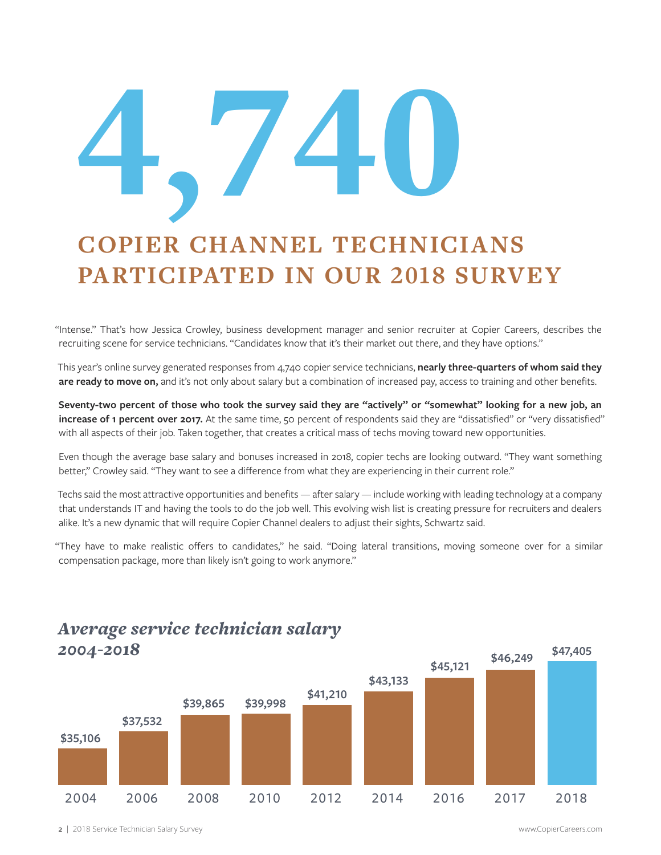# 4'740

## **COPIER CHANNEL TECHNICIANS PARTICIPATED IN OUR 2018 SURVEY**

"Intense." That's how Jessica Crowley, business development manager and senior recruiter at Copier Careers, describes the recruiting scene for service technicians. "Candidates know that it's their market out there, and they have options."

This year's online survey generated responses from 4,740 copier service technicians, **nearly three-quarters of whom said they**  are ready to move on, and it's not only about salary but a combination of increased pay, access to training and other benefits.

**Seventy-two percent of those who took the survey said they are "actively" or "somewhat" looking for a new job, an increase of 1 percent over 2017.** At the same time, 50 percent of respondents said they are "dissatisfied" or "very dissatisfied" with all aspects of their job. Taken together, that creates a critical mass of techs moving toward new opportunities.

Even though the average base salary and bonuses increased in 2018, copier techs are looking outward. "They want something better," Crowley said. "They want to see a difference from what they are experiencing in their current role."

Techs said the most attractive opportunities and benefits — after salary — include working with leading technology at a company that understands IT and having the tools to do the job well. This evolving wish list is creating pressure for recruiters and dealers alike. It's a new dynamic that will require Copier Channel dealers to adjust their sights, Schwartz said.

"They have to make realistic offers to candidates," he said. "Doing lateral transitions, moving someone over for a similar compensation package, more than likely isn't going to work anymore."



# *Average service technician salary*

2 | 2018 Service Technician Salary Survey www.CopierCareers.com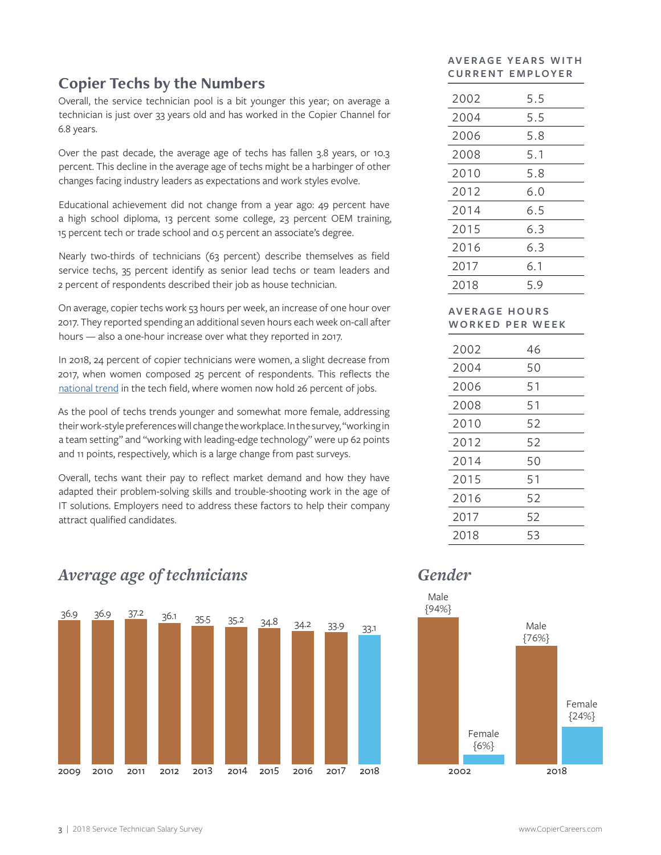#### **Copier Techs by the Numbers**

Overall, the service technician pool is a bit younger this year; on average a technician is just over 33 years old and has worked in the Copier Channel for 6.8 years.

Over the past decade, the average age of techs has fallen 3.8 years, or 10.3 percent. This decline in the average age of techs might be a harbinger of other changes facing industry leaders as expectations and work styles evolve.

Educational achievement did not change from a year ago: 49 percent have a high school diploma, 13 percent some college, 23 percent OEM training, 15 percent tech or trade school and 0.5 percent an associate's degree.

Nearly two-thirds of technicians (63 percent) describe themselves as field service techs, 35 percent identify as senior lead techs or team leaders and 2 percent of respondents described their job as house technician.

On average, copier techs work 53 hours per week, an increase of one hour over 2017. They reported spending an additional seven hours each week on-call after hours — also a one-hour increase over what they reported in 2017.

In 2018, 24 percent of copier technicians were women, a slight decrease from 2017, when women composed 25 percent of respondents. This reflects the [national trend](https://smallbiztrends.com/2018/03/women-in-technology-statistics.html) in the tech field, where women now hold 26 percent of jobs.

As the pool of techs trends younger and somewhat more female, addressing their work-style preferences will change the workplace. In the survey, "working in a team setting" and "working with leading-edge technology" were up 62 points and 11 points, respectively, which is a large change from past surveys.

Overall, techs want their pay to reflect market demand and how they have adapted their problem-solving skills and trouble-shooting work in the age of IT solutions. Employers need to address these factors to help their company attract qualified candidates.



#### *Average age of technicians Gender*

#### **AVERAGE YEARS WITH CURRENT EMPLOYER**

| 2002 | 5.5 |
|------|-----|
| 2004 | 5.5 |
| 2006 | 5.8 |
| 2008 | 5.1 |
| 2010 | 5.8 |
| 2012 | 6.0 |
| 2014 | 6.5 |
| 2015 | 6.3 |
| 2016 | 6.3 |
| 2017 | 6.1 |
| 2018 | 5.9 |

#### **AV E R A G E H O U R S WORKED PER WEEK**

| 2002 | 46 |
|------|----|
| 2004 | 50 |
| 2006 | 51 |
| 2008 | 51 |
| 2010 | 52 |
| 2012 | 52 |
| 2014 | 50 |
| 2015 | 51 |
| 2016 | 52 |
| 2017 | 52 |
| 2018 | 53 |

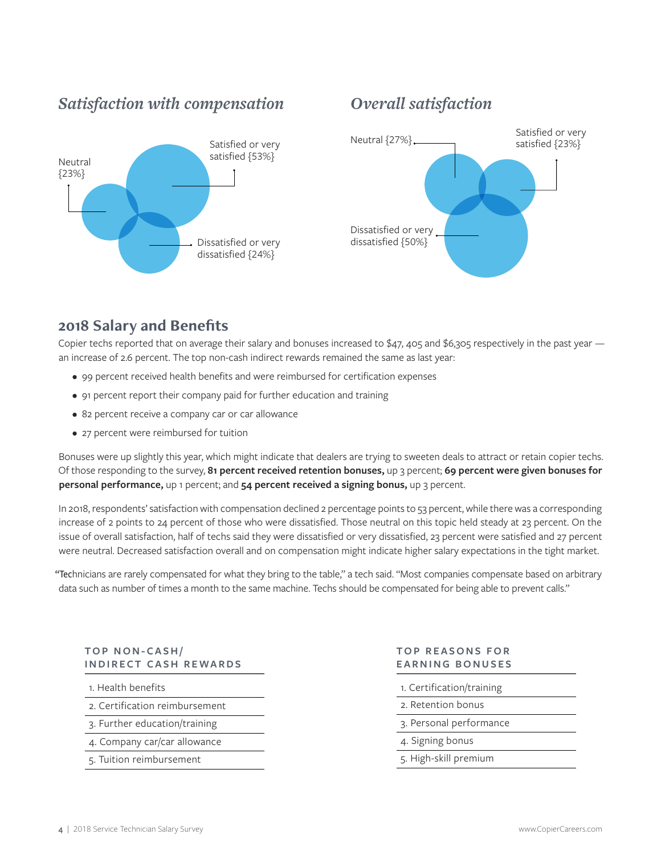#### *Satisfaction with compensation Overall satisfaction*





#### **2018 Salary and Benefits**

Copier techs reported that on average their salary and bonuses increased to \$47, 405 and \$6,305 respectively in the past year  $$ an increase of 2.6 percent. The top non-cash indirect rewards remained the same as last year:

- 99 percent received health benefits and were reimbursed for certification expenses
- 91 percent report their company paid for further education and training
- 82 percent receive a company car or car allowance
- 27 percent were reimbursed for tuition

Bonuses were up slightly this year, which might indicate that dealers are trying to sweeten deals to attract or retain copier techs. Of those responding to the survey, **81 percent received retention bonuses,** up 3 percent; **69 percent were given bonuses for personal performance,** up 1 percent; and **54 percent received a signing bonus,** up 3 percent.

In 2018, respondents' satisfaction with compensation declined 2 percentage points to 53 percent, while there was a corresponding increase of 2 points to 24 percent of those who were dissatisfied. Those neutral on this topic held steady at 23 percent. On the issue of overall satisfaction, half of techs said they were dissatisfied or very dissatisfied, 23 percent were satisfied and 27 percent were neutral. Decreased satisfaction overall and on compensation might indicate higher salary expectations in the tight market.

"Technicians are rarely compensated for what they bring to the table," a tech said. "Most companies compensate based on arbitrary data such as number of times a month to the same machine. Techs should be compensated for being able to prevent calls."

#### **TOP NON-CASH/ INDIRECT CASH REWARDS**

1. Health benefits

- 2. Certification reimbursement
- 3. Further education/training
- 4. Company car/car allowance
- 5. Tuition reimbursement

#### **TOP REASONS FOR EARNING BONUSES**

1. Certification/training

- 2. Retention bonus
- 3. Personal performance
- 4. Signing bonus
- 5. High-skill premium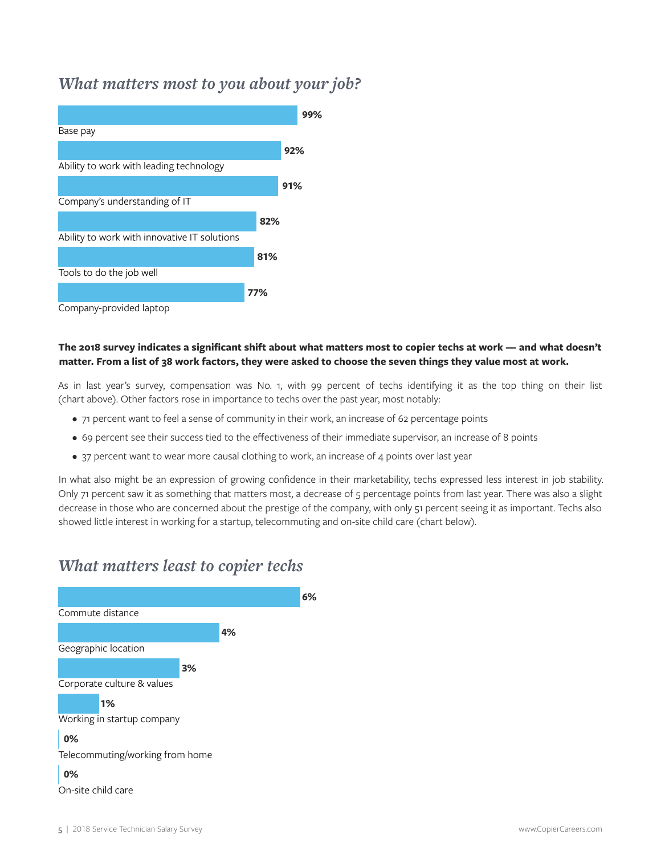#### *What matters most to you about your job?*



#### **The 2018 survey indicates a significant shift about what matters most to copier techs at work — and what doesn't matter. From a list of 38 work factors, they were asked to choose the seven things they value most at work.**

As in last year's survey, compensation was No. 1, with 99 percent of techs identifying it as the top thing on their list (chart above). Other factors rose in importance to techs over the past year, most notably:

- 71 percent want to feel a sense of community in their work, an increase of 62 percentage points
- 69 percent see their success tied to the effectiveness of their immediate supervisor, an increase of 8 points
- 37 percent want to wear more causal clothing to work, an increase of 4 points over last year

In what also might be an expression of growing confidence in their marketability, techs expressed less interest in job stability. Only 71 percent saw it as something that matters most, a decrease of 5 percentage points from last year. There was also a slight decrease in those who are concerned about the prestige of the company, with only 51 percent seeing it as important. Techs also showed little interest in working for a startup, telecommuting and on-site child care (chart below).



#### *What matters least to copier techs*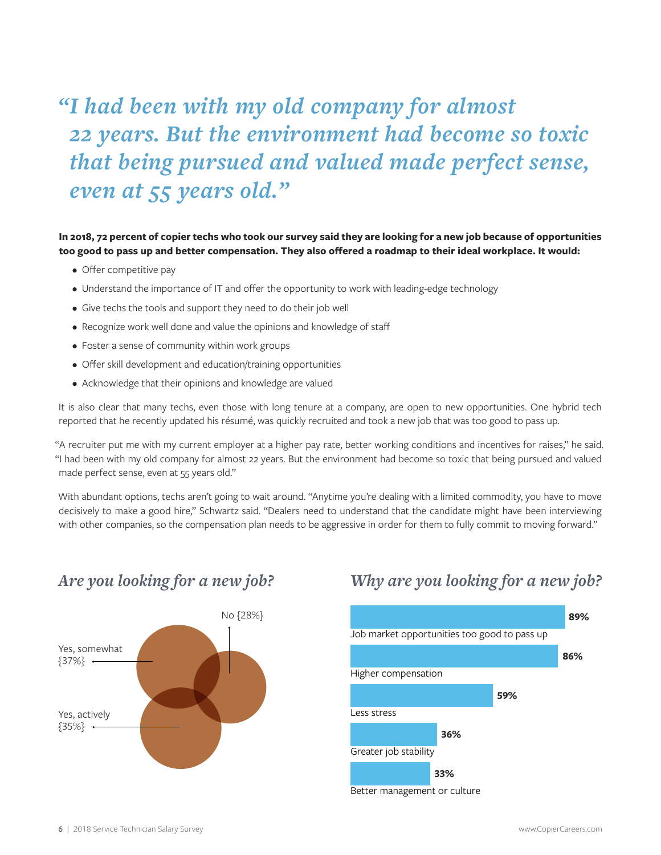*"I had been with my old company for almost 22 years. But the environment had become so toxic that being pursued and valued made perfect sense, even at 55 years old."*

#### **In 2018, 72 percent of copier techs who took our survey said they are looking for a new job because of opportunities too good to pass up and better compensation. They also offered a roadmap to their ideal workplace. It would:**

- Offer competitive pay
- Understand the importance of IT and offer the opportunity to work with leading-edge technology
- Give techs the tools and support they need to do their job well
- Recognize work well done and value the opinions and knowledge of staff
- Foster a sense of community within work groups
- Offer skill development and education/training opportunities
- Acknowledge that their opinions and knowledge are valued

It is also clear that many techs, even those with long tenure at a company, are open to new opportunities. One hybrid tech reported that he recently updated his résumé, was quickly recruited and took a new job that was too good to pass up.

"A recruiter put me with my current employer at a higher pay rate, better working conditions and incentives for raises," he said. "I had been with my old company for almost 22 years. But the environment had become so toxic that being pursued and valued made perfect sense, even at 55 years old."

With abundant options, techs aren't going to wait around. "Anytime you're dealing with a limited commodity, you have to move decisively to make a good hire," Schwartz said. "Dealers need to understand that the candidate might have been interviewing with other companies, so the compensation plan needs to be aggressive in order for them to fully commit to moving forward."



#### *Are you looking for a new job? Why are you looking for a new job?*



Better management or culture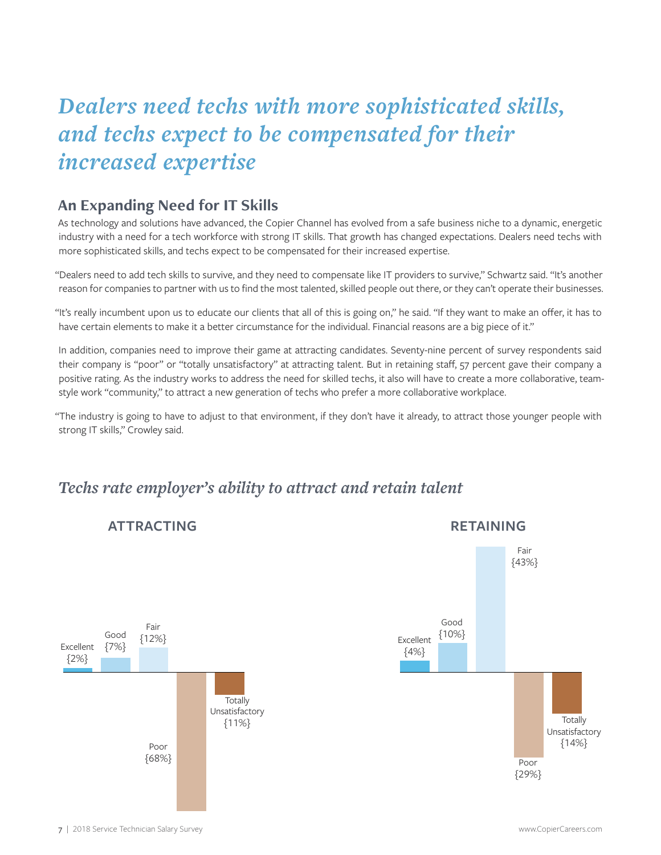### *Dealers need techs with more sophisticated skills, and techs expect to be compensated for their increased expertise*

#### **An Expanding Need for IT Skills**

As technology and solutions have advanced, the Copier Channel has evolved from a safe business niche to a dynamic, energetic industry with a need for a tech workforce with strong IT skills. That growth has changed expectations. Dealers need techs with more sophisticated skills, and techs expect to be compensated for their increased expertise.

"Dealers need to add tech skills to survive, and they need to compensate like IT providers to survive," Schwartz said. "It's another reason for companies to partner with us to find the most talented, skilled people out there, or they can't operate their businesses.

"It's really incumbent upon us to educate our clients that all of this is going on," he said. "If they want to make an offer, it has to have certain elements to make it a better circumstance for the individual. Financial reasons are a big piece of it."

In addition, companies need to improve their game at attracting candidates. Seventy-nine percent of survey respondents said their company is "poor" or "totally unsatisfactory" at attracting talent. But in retaining staff, 57 percent gave their company a positive rating. As the industry works to address the need for skilled techs, it also will have to create a more collaborative, teamstyle work "community," to attract a new generation of techs who prefer a more collaborative workplace.

"The industry is going to have to adjust to that environment, if they don't have it already, to attract those younger people with strong IT skills," Crowley said.

#### **ATTRACTING RETAINING** Good {7%} Good  $_{\rm 12921}$  Fair  $_{\rm 12921}$ {12%} Fair {43%} Excellent {2%} Excellent {4%} Poor {68%} Poor {29%} **Totally** Unsatisfactory  ${11\%}$  Totally Unsatisfactory {14%}

#### *Techs rate employer's ability to attract and retain talent*